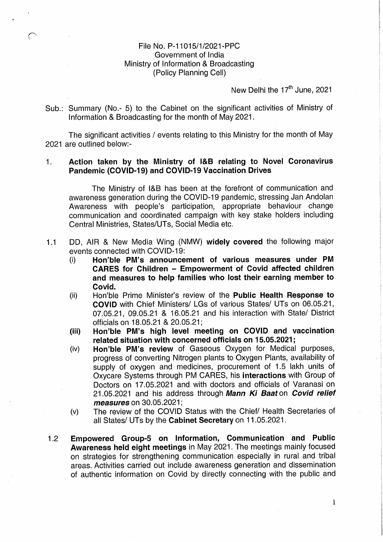# File No. P-11015/1/2021-PPC Government of lndia <sup>2</sup> Ministry of Information & Broadcasting (Policy Planning Cell)

# New Delhi the 17<sup>th</sup> June, 2021

L

Sub.: Summary (No.- 5) to the Cabinet on the significant activities of Ministry of Information & Broadcasting for the month of May 2021.

The significant activities / events relating to this Ministry for the month of May 2021 are outlined below:-

#### $1.$ Action taken by the Ministry of l&B relating to Novel Coronavirus Pandemic (COVID-19) and COVID-19 Vaccination Drives

The Ministry of l&B has been at the forefront of communication and awareness generation during the COVID-19 pandemic, stressing Jan Andolan Awareness with people's participation, appropriate behaviour change communication and coordinated campaign with key stake holders including Central Ministries, States/UTs, Social Media etc.

- DD, AIR & New Media Wing (NMW) widely covered the following major  $1.1$ events connected with COVID-19:
	- (i) Hon'ble PM's announcement of various measures under PM CARES for Children — Empowerment of Covid affected children and measures to help families who lost their earning member to Covid.
	- (ii) Hon'ble Prime Minister's review of the Public Health Response to COVID with Chief Ministers/ LGs of various States/ UTs on 06.05.21, 07.05.21, 09.05.21 & 16.05.21 and his interaction with State/ District officials on 18.05.21 & 20.05.21; <sup>W</sup>
	- (iii) Hon'ble PM's high level meeting on COVID and vaccination related situation with concerned officials on 15.05.2021;
	- (iv) Hon'ble PM's review of Gaseous Oxygen for Medical purposes, progress of converting Nitrogen plants to Oxygen Plants, availability of supply of oxygen and medicines, procurement of 1.5 lakh units of Oxycare Systems through PM CARES, his interactions with Group of Doctors on 17.05.2021 and with doctors and officials of Varanasi on 21.05.2021 and his address through Mann Ki Baaton Covid relief measures on 30.05.2021:
	- (v) The review of the COVID Status with the Chief/ Health Secretaries of all States/ UTs by the Cabinet Secretary on 11.05.2021.
- Empowered Group-5 on Information, Communication and Public  $1.2$ Awareness held eight meetings in May 2021. The meetings mainly focused on strategies for strengthening communication especially in rural and tribal areas. Activities carried out include awareness generation and dissemination of authentic information on Covid by directly connecting with the public and

1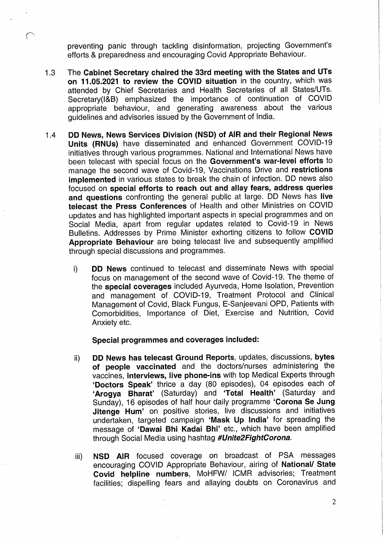preventing panic through tackling disinformation, projecting Government's efforts & preparedness and encouraging Covid Appropriate Behaviour.

- The Cabinet Secretary chaired the 33rd meeting with the States and UTs  $1.3$ on 11.05.2021 to review the COVID situation in the country, which was attended by Chief Secretaries and Health Secretaries of all States/UTs. Secretary(I&B) emphasized the importance of continuation of COVID appropriate behaviour, and generating awareness about the various guidelines and advisories issued by the Government of India.
- DD News, News Services Division (NSD) of AIR and their Regional News  $1.4$ Units (RNUs) have disseminated and enhanced Government COVID-19 initiatives through various programmes. National and International News have been telecast with special focus on the Government's war-level efforts to manage the second wave of Covid-19, Vaccinations Drive and restrictions implemented in various states to break the chain of infection. DD news also focused on special efforts to reach out and allay fears, address queries and questions confronting the general public at large. DD News has live telecast the Press Conferences of Health and other Ministries on COVID updates and has highlighted important aspects in special programmes and on Social Media, apart from regular updates related to Covid-19 in News Bulletins. Addresses by Prime Minister exhorting citizens to follow COVID Appropriate Behaviour are being telecast live and subsequently amplified through special discussions and programmes.
	- i) **DD News** continued to telecast and disseminate News with special focus on management of the second wave of Covid-19. The theme of the special coverages included Ayurveda, Home Isolation, Prevention and management of COVID-19, Treatment Protocol and Clinical Management of Covid, Black Fungus, E-Sanjeevani OPD, Patients with Comorbidities, Importance of Diet, Exercise and Nutrition, Covid Anxiety etc.

### Special programmes and coverages included:

'

- ii) DD News has telecast Ground Reports, updates, discussions, bytes of people vaccinated and the doctors/nurses administering the vaccines, interviews, live phone-ins with top Medical Experts through 'Doctors Speak' thrice a day (80 episodes), 04 episodes each of 'Arogya Bharat' (Saturday) and 'Total Health' (Saturday and Sunday), 16 episodes of half hour daily programme 'Corona Se Jung Jitenge Hum' on positive stories, live discussions and initiatives undertaken, targeted campaign 'Mask Up lndia' for spreading the message of 'Dawai Bhi Kadai Bhi' etc., which have been amplified through Social Media using hashtag #Unite2FightCorona.
- iii) NSD AIR focused coverage on broadcast of PSA messages encouraging COVID Appropriate Behaviour, airing of National/ State Covid helpline numbers, MoHFW/ ICMR advisories; Treatment facilities; dispelling fears and allaying doubts on Coronavirus and

 $\mathcal{L}$ 

l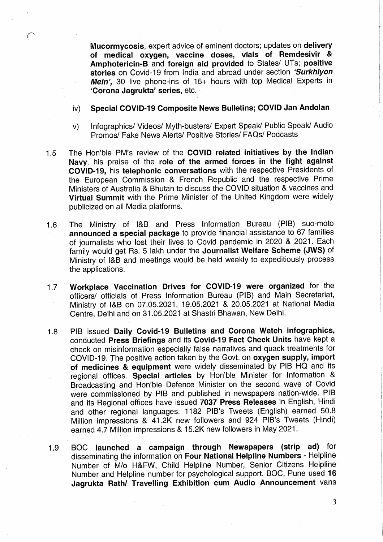Mucormycosis, expert advice of eminent doctors; updates on delivery of medical oxygen, vaccine doses, vials of Remdesivir & Amphotericin-B and foreign aid provided to States/ UTs; positive stories on Covid-19 from India and abroad under section 'Surkhiyon Mein', 30 live phone-ins of  $15+$  hours with top Medical Experts in 'Corona Jagrukta' series, etc.

# iv) Special COVID-19 Composite News Bulletins; COVID Jan Andolan

- v) Infographics/ Videos/ Myth-busters/ Expert Speak/ Public Speak/ Audio Promos/ Fake News Alerts/ Positive Stories/ FAQs/ Podcasts
- The Hon'ble PM's review of the COVID related initiatives by the Indian  $1.5$ Navy, his praise of the role of the armed forces in the fight against COVID-19, his telephonic conversations with the respective Presidents of the European Commission & French Republic and the respective Prime Ministers of Australia & Bhutan to discuss the COVID situation & vaccines and Virtual Summit with the Prime Minister of the United Kingdom were widely publicized on all Media platforms.
- The Ministry of l&B and Press Information Bureau (PIB) suo-moto  $1.6$ announced a special package to provide financial assistance to 67 families of journalists who lost their lives to Covid pandemic in 2020 & 2021. Each family would get Rs. 5 lakh under the Journalist Welfare Scheme (JWS) of Ministry of I&B and meetings would be held weekly to expeditiously process the applications.
- Workplace Vaccination Drives for COVID-19 were organized for the  $1.7$ officers/ officials of Press Information Bureau (PIB) and Main Secretariat, Ministry of I&B on 07.05.2021, 19.05.2021 & 20.05.2021 at National Media Centre, Delhi and on 31.05.2021 at Shastri Bhawan, New Delhi.
- PIB issued Daily Covid-19 Bulletins and Corona Watch infographics,  $1.8$ conducted Press Briefings and its Covid-19 Fact Check Units have kept a check on misinformation especially false narratives and quack treatments for COVID-19. The positive action taken by the Govt. on oxygen supply, import of medicines & equipment were widely disseminated by PIB HQ and its regional offices. Special articles by Hon'ble Minister for Information & Broadcasting and Hon'ble Defence Minister on the second wave of Covid were commissioned by PIB and published in newspapers nation-wide. PIB and its Regional offices have issued 7037 Press Releases in English, Hindi and other regional languages. 1182 PlB's Tweets (English) earned 50.8 Million impressions & 41.2K new followers and 924 PlB's Tweets (Hindi) earned 4.7 Million impressions & 15.2K new followers in May 2021.
- BOC launched at campaign through Newspapers (strip ad) for 1.9 disseminating the information on Four National Helpline Numbers - Helpline Number of M/o H&FW, Child Helpline Number, Senior Citizens Helpline" Number and Helpline number for psychological support. BOC, Pune used 16 Jagrukta Rath/ Travelling Exhibition cum Audio Announcement vans

. For a set of the set of the set of the set of the set of the set of the set of the set of the set of the set of the set of the set of the set of the set of the set of the set of the set of the set of the set of the set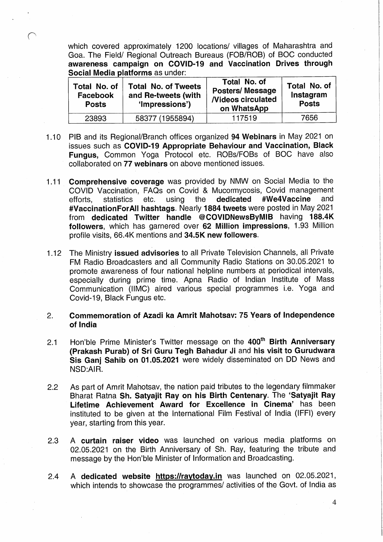which covered approximately 1200 locations/ villages of Maharashtra and Goa. The. Field/ Regional Outreach Bureaus (FOB/ROB) of BOC conducted awareness campaign on COVID-19 and Vaccination Drives through Social Media platforms as under:

| Total No. of<br><b>Facebook</b><br><b>Posts</b> | <b>Total No. of Tweets</b><br>and Re-tweets (with<br>'Impressions') | Total No. of<br><b>Posters/Message</b><br><b>Nideos circulated</b><br>on WhatsApp | Total No. of<br>Instagram<br><b>Posts</b> |
|-------------------------------------------------|---------------------------------------------------------------------|-----------------------------------------------------------------------------------|-------------------------------------------|
| 23893                                           | 58377 (1955894)                                                     | 117519                                                                            | 7656                                      |

- O PIB and its Regional/Branch offices organized 94 Webinars in May 2021 on issues such as COVID-19 Appropriate Behaviour and Vaccination, Black Fungus, Common Yoga Protocol etc. ROBs/FOBs of BOC have also collaborated on 77 webinars on above mentioned issues.
- $1.11$ Comprehensive coverage was provided by NMW on Social Media to the COVID Vaccination, FAQs on Covid & Mucormycosis, Covid management efforts, statistics etc. using the dedicated #We4Vaccine and #VaccinationForAIl hashtags. Nearly 1884 tweets were posted in May 2021 from dedicated Twitter handle @COVlDNewsByMlB having 188.4K followers, which has garnered over 62 Million impressions, 1.93 Million profile visits, 66.4K mentions and 34.5K new followers.
- $1.12$ The Ministry issued advisories to all Private Television Channels, all Private FM Radio Broadcasters and all Community Radio Stations on 30.05.2021 to promote awareness of four national helpline numbers at periodical intervals, especially during prime time. Apna Radio of Indian Institute of Mass Communication (IIMC) aired various special programmes i.e. Yoga and Covid-19, Black Fungus etc.
- Commemoration of Azadi ka Amrit Mahotsav: 75 Years of Independence  $2.$ of India
- Hon'ble Prime Minister's Twitter message on the 400<sup>th</sup> Birth Anniversary  $2.1$ (Prakash Purab) of Sri Guru Tegh Bahadur Ji and his visit to Gurudwara Sis Ganj Sahib on 01.05.2021 were widely disseminated on DD News and NSD:AlR. <sup>7</sup>
- As part of Amrit Mahotsav, the nation paid tributes to the legendary filmmaker  $2.2$ Bharat Ratna Sh. Satyajit Ray on his Birth Centenary. The 'Satvajit Rav Lifetime Achievement Award for Excellence in Cinema' has been instituted to be given at the International Film Festival of India (IFFI) every year, starting from this year.
- A curtain raiser video was launched on various media platforms on  $2.3$ 02.05.2021 on the Birth Anniversary of Sh. Ray, featuring the tribute and message by the Hon'ble Minister of Information and Broadcasting.
- A dedicated website https://raytoday.in was launched on 02.05.2021,  $2.4$ which intends to showcase the programmes/ activities of the Govt. of India as

.  $\sim$  4

F

I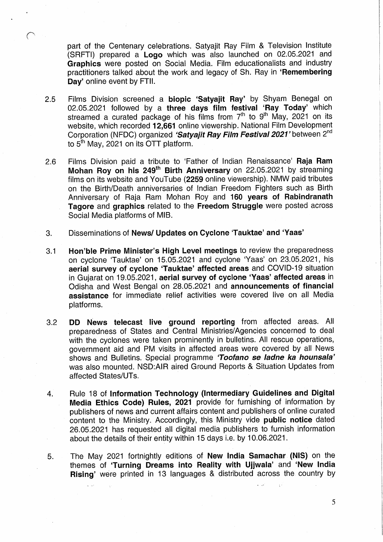part of the Centenary celebrations. Satyajit Ray Film & Television Institute (SRFTI) prepared a Logo which was also launched. on 02.05.2021 and Graphics were posted on Social Media. Film educationalists and industry practitioners talked about the work and legacy of Sh. Ray in 'Remembering Day' online event by FTII.

- $2.5$ Films Division screened a **biopic 'Satyajit Ray'** by Shyam Benegal on 02.05.2021 followed by a three days film festival 'Ray Today' which streamed a curated package of his films from 7<sup>th</sup> to 9<sup>th</sup> May, 2021 on its website, which recorded 12,661 online viewership. National Film Development Corporation (NFDC) organized 'Satyajit Ray Film Festival 2021' between 2<sup>nd</sup> to  $5<sup>th</sup>$  May, 2021 on its OTT platform.
- Films Division paid a tribute to 'Father of Indian Renaissance' Raia Ram  $2.6$ Mohan Roy on his 249<sup>th</sup> Birth Anniversary on 22.05.2021 by streaming films on its website and YouTube (2259 online viewership). NMW paid tributes on the Birth/Death anniversaries of Indian Freedom Fighters suchas Birth Anniversary of Raja Ram Mohan Roy and 160 years of Rabindranath Tagore and graphics related to the Freedom Struggle were posted across Social Media platforms of MIB.
- Disseminations of News/ Updates on Cyclone 'Tauktae' and 'Yaas' 3.
- Hon'ble Prime Minister's High Level meetings to review the preparedness  $3.1$ on cyclone 'Tauktae' on 15.05.2021 and cyclone 'Yaas' on 23.05.2021, his aerial survey of cyclone 'Tauktae' affected areas and COVID-19 situation in Gujarat on 19.05.2021, aerial survey of cyclone 'Yaas' affected areas in Odisha and West Bengal on 28.05.2021 and announcements of financial assistance for immediate relief activities were covered live on all Media platforms.
- $3.2$ DD News telecast live ground reporting from affected areas. All preparedness of States and Central Ministries/Agencies concerned to deal with the cyclones were taken prominently in bulletins. All rescue operations, government aid and PM visits in affected areas were covered by all News shows and Bulletins. Special programme 'Toofano se ladne ka hounsala' was also mounted. NSD:AlR aired Ground Reports & Situation Updates from affected States/UTs. <sup>I</sup>
- Rule 18 of Information Technology (Intermediary Guidelines and Digital  $4.$ Media Ethics Code) Rules, 2021 provide for furnishing of information, by publishers of news and current affairs content and publishers of online curated content to the Ministry. Accordingly, this Ministry vide public notice dated 26.05.2021 has requested all digital media publishers to furnish information about the details of their entity within 15 days i.e. by 10.06.2021.
- The May 2021 fortnightly editions of New India Samachar. (NIS) on the 5. themes of 'Turning Dreams into Reality with Ujjwala' and 'New India Rising' were printed in 13 languages & distributed across the country by

,.\_\_ \_:,,' . . n .>'.l <sup>I</sup> . '

5